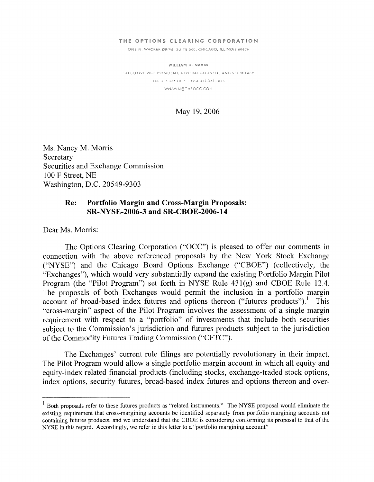#### THE OPTIONS CLEARING CORPORATION

ONE N. WACKER DRIVE, SUITE 500, CHICAGO, ILLINOIS 60606

-- irL 312 *32:* lEi7 FAX 312.322.1a36 WILLIAM H. **NAVIN** EXECUTIVE VICE PRESIDENT, GENERAL COUNSEL, AND SECRETARY WNAVIN@THEOCC.COM

#### May 19,2006

Ms. Nancy M. Morris Secretary Securities and Exchange Commission 100 F Street, NE Washington, D.C. 20549-9303

# **Re: Portfolio Margin and Cross-Margin Proposals: SR-NYSE-2006-3 and SR-CBOE-2006-14**

Dear Ms. Morris:

The Options Clearing Corporation ("OCC") is pleased to offer our comments in connection with the above referenced proposals by the New York Stock Exchange ("NYSE") and the Chicago Board Options Exchange ("CBOE") (collectively, the "Exchanges"), which would very substantially expand the existing Portfolio Margin Pilot Program (the "Pilot Program") set forth in NYSE Rule 431(g) and CBOE Rule 12.4. The proposals of both Exchanges would permit the inclusion in a portfolio margin account of broad-based index futures and options thereon ("futures products").<sup>1</sup> This "cross-margin" aspect of the Pilot Program involves the assessment of a single margin requirement with respect to a "portfolio" of investments that include both securities subject to the Commission's jurisdiction and futures products subject to the jurisdiction of the Commodity Futures Trading Commission ("CFTC").

The Exchanges' current rule filings are potentially revolutionary in their impact. The Pilot Program would allow a single portfolio margin account in which all equity and equity-index related financial products (including stocks, exchange-traded stock options, index options, security futures, broad-based index futures and options thereon and over-

Both proposals refer to these futures products as "related instruments." The NYSE proposal would eliminate the existing requirement that cross-margining accounts be identified separately from portfolio margining accounts not containing futures products, and we understand that the CBOE is considering conforming its proposal to that of the NYSE in this regard. Accordingly, we refer in this letter to a "portfolio margining account"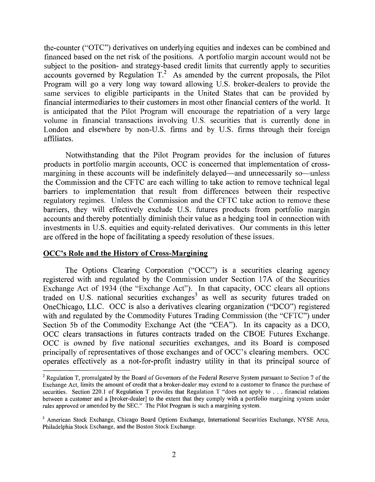the-counter ("OTC") derivatives on underlying equities and indexes can be combined and financed based on the net risk of the positions. A portfolio margin account would not be subject to the position- and strategy-based credit limits that currently apply to securities accounts governed by Regulation  $T<sup>2</sup>$ . As amended by the current proposals, the Pilot Program will go a very long way toward allowing U.S. broker-dealers to provide the same services to eligible participants in the United States that can be provided by financial intermediaries to their customers in most other financial centers of the world. It is anticipated that the Pilot Program will encourage the repatriation of a very large volume in financial transactions involving U.S. securities that is currently done in London and elsewhere by non-U.S. firms and by U.S. firms through their foreign affiliates.

Notwithstanding that the Pilot Program provides for the inclusion of futures products in portfolio margin accounts, OCC is concerned that implementation of crossmargining in these accounts will be indefinitely delayed—and unnecessarily so—unless the Commission and the CFTC are each willing to take action to remove technical legal barriers to implementation that result from differences between their respective regulatory regimes. Unless the Commission and the CFTC take action to remove these barriers, they will effectively exclude U.S. futures products from portfolio margin accounts and thereby potentially diminish their value as a hedging tool in connection with investments in U.S. equities and equity-related derivatives. Our comments in this letter are offered in the hope of facilitating a speedy resolution of these issues.

# **OCC's Role and the History of Cross-Margining**

The Options Clearing Corporation ("OCC") is a securities clearing agency registered with and regulated by the Commission under Section 17A of the Securities Exchange Act of 1934 (the "Exchange Act"). In that capacity, OCC clears all options traded on U.S. national securities exchanges<sup>3</sup> as well as security futures traded on OneChicago, LLC. OCC is also a derivatives clearing organization ("DCO") registered with and regulated by the Commodity Futures Trading Commission (the "CFTC") under Section 5b of the Commodity Exchange Act (the "CEA"). In its capacity as a DCO, OCC clears transactions in futures contracts traded on the CBOE Futures Exchange. OCC is owned by five national securities exchanges, and its Board is composed principally of representatives of those exchanges and of OCC's clearing members. OCC operates effectively as a not-for-profit industry utility in that its principal source of

 $2$  Regulation T, promulgated by the Board of Governors of the Federal Reserve System pursuant to Section 7 of the Exchange Act, limits the amount of credit that a broker-dealer may extend to a customer to finance the purchase of securities. Section 220.1 of Regulation T provides that Regulation T "does not apply to . . . financial relations between a customer and a [broker-dealer] to the extent that they comply with a portfolio margining system under rules approved or amended by the SEC." The Pilot Program is such a margining system.

**<sup>3</sup>**American Stock Exchange, Chicago Board Options Exchange, International Securities Exchange, NYSE Arca, Philadelphia Stock Exchange, and the Boston Stock Exchange.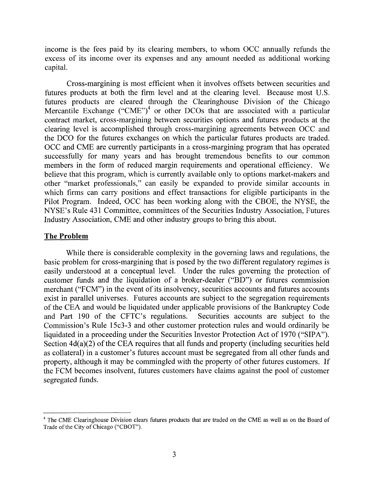income is the fees paid by its clearing members, to whom OCC annually refunds the excess of its income over its expenses and any amount needed as additional working capital.

Cross-margining is most efficient when it involves offsets between securities and futures products at both the firm level and at the clearing level. Because most U.S. futures products are cleared through the Clearinghouse Division of the Chicago Mercantile Exchange ("CME")<sup>4</sup> or other DCOs that are associated with a particular contract market, cross-margining between securities options and futures products at the clearing level is accomplished through cross-margining agreements between OCC and the DCO for the futures exchanges on which the particular futures products are traded. OCC and CME are currently participants in a cross-margining program that has operated successfully for many years and has brought tremendous benefits to our common members in the form of reduced margin requirements and operational efficiency. We believe that this program, which is currently available only to options market-makers and other "market professionals," can easily be expanded to provide similar accounts in which firms can carry positions and effect transactions for eligible participants in the Pilot Program. Indeed, OCC has been working along with the CBOE, the NYSE, the NYSE's Rule 431 Committee, committees of the Securities Industry Association, Futures Industry Association, CME: and other industry groups to bring this about.

### **The Problem**

While there is considerable complexity in the governing laws and regulations, the basic problem for cross-margining that is posed by the two different regulatory regimes is easily understood at a conceptual level. Under the rules governing the protection of customer funds and the liquidation of a broker-dealer ("BD") or futures commission merchant ("FCM") in the event of its insolvency, securities accounts and futures accounts exist in parallel universes. Futures accounts are subject to the segregation requirements of the CEA and would be liquidated under applicable provisions of the Bankruptcy Code and Part 190 of the CFTC's regulations. Securities accounts are subject to the and Part 190 of the CFTC's regulations. Commission's Rule 15c3-3 and other customer protection rules and would ordinarily be liquidated in a proceeding under the Securities Investor Protection Act of 1970 ("SIPA"). Section  $4d(a)(2)$  of the CEA requires that all funds and property (including securities held as collateral) in a customer's futures account must be segregated from all other funds and property, although it may be commingled with the property of other futures customers. If the FCM becomes insolvent, futures customers have claims against the pool of customer segregated funds.

<sup>&</sup>lt;sup>4</sup> The CME Clearinghouse Division clears futures products that are traded on the CME as well as on the Board of Trade of the City of Chicago ("CBOT").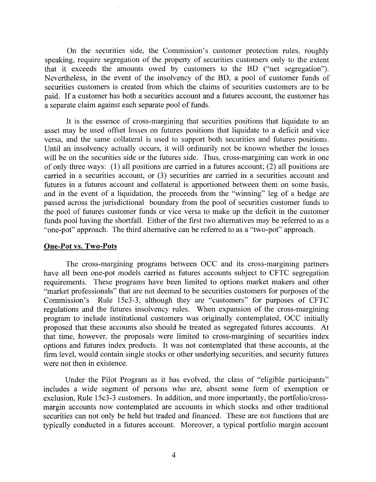On the securities side, the Commission's customer protection rules, roughly speaking, require segregation of the property of securities customers only to the extent that it exceeds the amounts owed by customers to the BD ("net segregation"). Nevertheless, in the event of the insolvency of the BD, a pool of custorner funds of securities customers is created from which the claims of securities customers are to be paid. If a customer has both a securities account and a futures account, the customer has a separate claim against each separate pool of funds.

It is the essence of cross-margining that securities positions that liquidate to an asset may be used offset losses on futures positions that liquidate to a deficit and vice versa, and the same collateral is used to support both securities and futures positions. Until an insolvency actually occurs, it will ordinarily not be known whether the losses will be on the securities side or the futures side. Thus, cross-margining can work in one of only three ways: (1) all positions are carried in a futures account; (2) all positions are carried in a securities account, or (3) securities are carried in a securities account and futures in a futures account and collateral is apportioned between them on some basis, and in the event of a liquidation, the proceeds from the "winning" leg of a hedge are passed across the jurisdictional boundary from the pool of securities customer funds to the pool of futures customer funds or vice versa to make up the deficit in the customer funds pool having the shortfall. Either of the first two alternatives may be referred to as a "one-pot" approach. The third alternative can be referred to as a "two-pot" approach.

#### **One-Pot vs. Two-Pots**

The cross-margining programs between OCC and its cross-margining partners have all been one-pot models carried as futures accounts subject to CFTC segregation requirements. These programs have been limited to options market makers and other "market professionals" that are not deemed to be securities customers for purposes of the Commission's Rule 15c3-3, although they are "customers" for purposes of CFTC regulations and the futures insolvency rules. When expansion of the cross-margining program to include institutional customers was originally contemplated, OCC initially proposed that these accounts also should be treated as segregated futures accounts. At that time, however, the proposals were limited to cross-margining of securities index options and futures index products. It was not contemplated that these accounts, at the firm level, would contain single stocks or other underlying securities, and security futures were not then in existence.

Under the Pilot Program as it has evolved, the class of "eligible participants" includes a wide segment of persons who are, absent some form of exemption or exclusion, Rule 15c3-3 customers. In addition, and more importantly, the portfolio/crossmargin accounts now contemplated are accounts in which stocks and other traditional securities can not only be held but traded and financed. These are not functions that are typically conducted in a futures account. Moreover, a typical portfolio margin account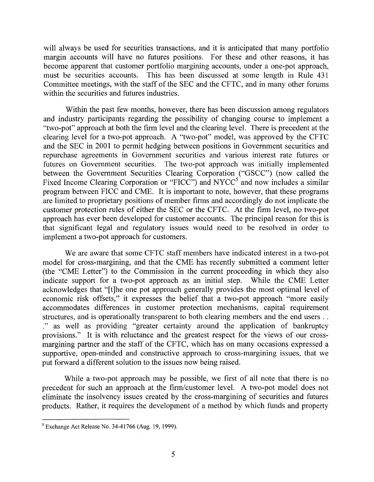will always be used for securities transactions, and it is anticipated that many portfolio margin accounts will have no futures positions. For these and other reasons, it has become apparent that customer portfolio margining accounts, under a one-pot approach, must be securities accounts. This has been discussed at some length in Rule 431 Committee meetings, with the staff of the SEC and the CFTC, and in many other forums within the securities and futures industries.

Within the past few months, however, there has been discussion among regulators and industry participants regarding the possibility of changing course to implement a "two-pot" approach at both the firm level and the clearing level. There is precedent at the clearing level for a two-pot approach. A "two-pot" model, was approved by the CFTC and the SEC in 2001 to permit hedging between positions in Government securities and repurchase agreements in Government securities and various interest rate futures or futures on Government securities. The two-pot approach was initially implemented between the Government Securities Clearing Corporation ("GSCC") (now called the Fixed Income Clearing Corporation or "FICC") and NYCC<sup>5</sup> and now includes a similar program between FICC and CME. It is important to note, however, that these programs are limited to proprietary positions of member firms and accordingly do not implicate the customer protection rules of either the SEC or the CFTC. At the firm level, no two-pot approach has ever been developed for customer accounts. The principal reason for this is that significant legal and regulatory issues would need to be resolved in order to implement a two-pot approach for customers.

We are aware that some CFTC staff members have indicated interest in a two-pot model for cross-margining, and that the CME has recently submitted a comment letter (the "CME Letter") to the Commission in the current proceeding in which they also indicate support for a two-pot approach as an initial step. While the CME Letter acknowledges that "[tlhe one pot approach generally provides the most optimal level of economic risk offsets," it expresses the belief that a two-pot approach "more easily accommodates differences in customer protection mechanisms, capital requirement structures, and is operationally transparent to both clearing members and the end users . . ." as well as providing "greater certainty around the application of bankruptcy provisions." It is with reluctance and the greatest respect for the views of our crossmargining partner and the staff of the CFTC, which has on many occasions expressed a supportive, open-minded and constructive approach to cross-margining issues, that we put forward a different solution to the issues now being raised.

While a two-pot approach may be possible, we first of all note that there is no precedent for such an approach at the firm/customer level. A two-pot model does not eliminate the insolvency issues created by the cross-margining of securities and futures products. Rather, it requires the development of a method by which funds and property

 $<sup>5</sup>$  Exchange Act Release No. 34-41766 (Aug. 19, 1999).</sup>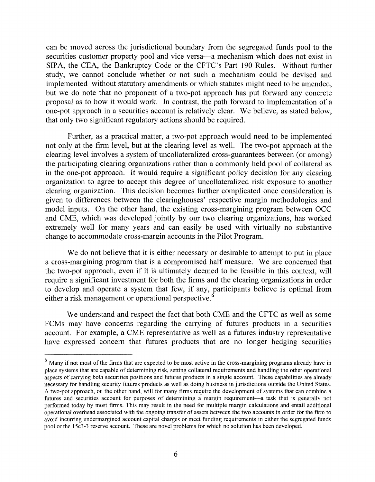can be moved across the jurisdictional boundary from the segregated funds pool to the securities customer property pool and vice versa—a mechanism which does not exist in SIPA, the CEA, the Bankruptcy Code or the CFTC's Part 190 Rules. Without further study, we cannot conclude whether or not such a mechanism could be devised and implemented without statutory amendments or which statutes might need to be amended, but we do note that no proponent of a two-pot approach has put forward any concrete proposal as to how it would work. In contrast, the path forward to implementation of a one-pot approach in a securities account is relatively clear. We believe, as stated below, that only two significant regulatory actions should be required.

Further, as a practical matter, a two-pot approach would need to be implemented not only at the firm level, but at the clearing level as well. The two-pot approach at the clearing level involves a system of uncollateralized cross-guarantees between (or among) the participating clearing organizations rather than a commonly held pool of collateral as in the one-pot approach. It would require a significant policy decision for any clearing organization to agree to accept this degree of uncollateralized risk exposure to another clearing organization. This decision becomes further complicated once consideration is given to differences between the clearinghouses' respective margin methodologies and model inputs. On the other hand, the existing cross-margining program between OCC and CME, which was developed jointly by our two clearing organizations, has worked extremely well for many years and can easily be used with virtually no substantive change to accommodate cross-margin accounts in the Pilot Program.

We do not believe that it is either necessary or desirable to attempt to put in place a cross-margining program that is a compromised half measure. We are concerned that the two-pot approach, even if it is ultimately deemed to be feasible in this context, will require a significant investment for both the firms and the clearing organizations in order to develop and operate a system that few, if any, participants believe is optimal from either a risk management or operational perspective.<sup>6</sup>

We understand and respect the fact that both CME and the CFTC as well as some FCMs may have concerns regarding the carrying of futures products in a securities account. For example, a CME representative as well as a futures industry representative have expressed concern that futures products that are no longer hedging securities

 $<sup>6</sup>$  Many if not most of the firms that are expected to be most active in the cross-margining programs already have in</sup> place systems that are capable of determining risk, setting collateral requirements and handling the other operational aspects of carrying both securities positions and futures products in a single account. These capabilities are already necessary for handling security futures products as well as doing business in jurisdictions outside the United States. A two-pot approach, on the other hand, will for many firms require the development of systems that can combine a futures and securities account for purposes of determining a margin requirement-a task that is generally not performed today by most firms. This may result in the need for multiple margin calculations and entail additional operational overhead associated with the ongoing transfer of assets between the two accounts in order for the firm to avoid incurring undermargined account capital charges or meet funding requirements in either the segregated funds pool or the 15 $c$ 3-3 reserve account. These are novel problems for which no solution has been developed.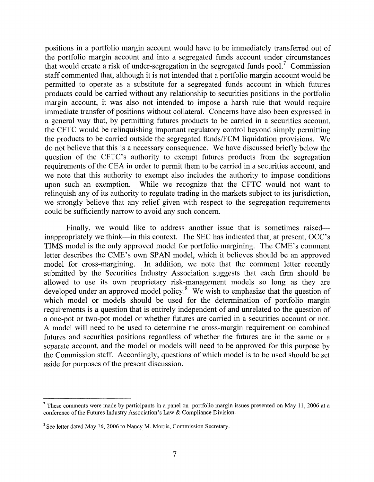positions in a portfolio margin account would have to be immediately transferred out of the portfolio margin account and into a segregated funds account under circumstances that would create a risk of under-segregation in the segregated funds pool.<sup>7</sup> Commission staff commented that, although it is not intended that a portfolio margin account would be permitted to operate as a substitute for a segregated funds account in which futures products could be carried without any relationship to securities positions in the portfolio margin account, it was also not intended to impose a harsh rule that would require immediate transfer of positions without collateral. Concerns have also been expressed in a general way that, by permitting futures products to be carried in a securities account, the CFTC would be relinquishing important regulatory control beyond simply permitting the products to be carried outside the segregated funds/FCM liquidation provisions. We do not believe that this is a necessary consequence. We have discussed briefly below the question of the CFTC's authority to exempt futures products from the segregation requirements of the CEA in order to permit them to be carried in a securities account, and we note that this authority to exempt also includes the authority to impose conditions upon such an exemption. While we recognize that the CFTC would not want to relinquish any of its authority to regulate trading in the markets subject to its jurisdiction, we strongly believe that any relief given with respect to the segregation requirements could be sufficiently narrow to avoid any such concern.

Finally, we would like to address another issue that is sometimes raised inappropriately we think—in this context. The SEC has indicated that, at present, OCC's TIMS model is the only approved model for portfolio margining. The CME's comment letter describes the CME's own SPAN model, which it believes should be an approved model for cross-margining. In addition, we note that the comment letter recently submitted by the Securities Industry Association suggests that each firm should be allowed to use its own proprietary risk-management models so long as they are developed under an approved model policy.<sup>8</sup> We wish to emphasize that the question of which model or models should be used for the determination of portfolio margin requirements is a question that is entirely independent of and unrelated to the question of a one-pot or two-pot model or whether futures are carried in a securities account or not. A model will need to be used to determine the cross-margin requirement on combined futures and securities positions regardless of whether the futures are in the same or a separate account, and the model or models will need to be approved for this purpose by the Commission staff. Accordingly, questions of which model is to be used should be set aside for purposes of the present discussion.

These comments were made by participants in a panel on portfolio margin issues presented on May 11, 2006 at a conference of the Futures Industry Association's Law & Compliance Division.

**<sup>8</sup>** See letter dated May 16,2006 to Nancy M. Morris, Commission Secretary.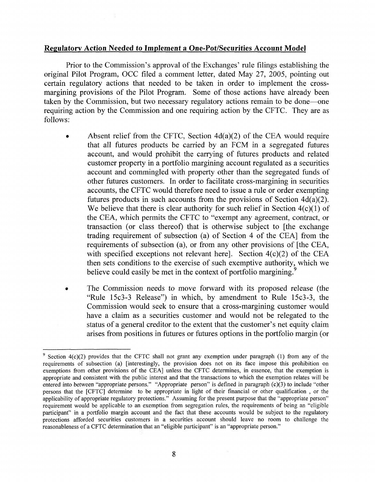# **Regulatory Action Needed to Implement a One-Pot/Securities Account Model**

Prior to the Commission's approval of the Exchanges' rule filings establishing the original Pilot Program, OCC filed a comment letter, dated May 27, 2005, pointing out certain regulatory actions that needed to be taken in order to implement the crossmargining provisions of the Pilot Program. Some of those actions have already been taken by the Commission, but two necessary regulatory actions remain to be done-one requiring action by the Commission and one requiring action by the CFTC. They are as follows:

- Absent relief from the CFTC, Section  $4d(a)(2)$  of the CEA would require that all futures products be carried by an FCM in a segregated htures account, and would prohibit the carrying of futures products and related customer property in a portfolio margining account regulated as a securities account and commingled with property other than the segregated funds of other futures customers. In order to facilitate cross-margining in securities accounts, the CFTC would therefore need to issue a rule or order exempting futures products in such accounts from the provisions of Section  $4d(a)(2)$ . We believe that there is clear authority for such relief in Section  $4(c)(1)$  of the CEA, which permits the CFTC to "exempt any agreement, contract, or transaction (or class thereof) that is otherwise subject to [the exchange trading requirement of subsection (a) of Section 4 of the CEA] from the requirements of subsection (a), or from any other provisions of [the CEA, with specified exceptions not relevant here]. Section  $4(c)(2)$  of the CEA then sets conditions to the exercise of such exemptive authority, which we believe could easily be met in the context of portfolio margining.<sup>9</sup>
- The Commission needs to move forward with its proposed release (the  $\bullet$ "Rule 15c3-3 Release") in which, by amendment to Rule 15c3-3, the Commission would seek to ensure that a cross-margining customer would have a claim as a securities customer and would not be relegated to the status of a general creditor to the extent that the customer's net equity claim arises from positions in htures or futures options in the portfolio margin (or

 $\frac{9}{2}$  Section 4(c)(2) provides that the CFTC shall not grant any exemption under paragraph (1) from any of the requirements of subsection (a) [interestingly, the provision does not on its face impose this prohibition on exemptions from other provisions of the CEA] unless the CFTC determines, in essence, that the exemption is appropriate and consistent with the public interest and that the transactions to which the exemption relates will be entered into between "appropriate persons." "Appropriate person" is defined in paragraph (c)(3) to include "other persons that the [CFTC] determine to be appropriate in light of their financial or other qualification , or the applicability of appropriate regulatory protections." Assuming for the present purpose that the "appropriate person" requirement would be applicable to an exemption from segregation rules, the requirements of being an "eligible participant" in a portfolio margin account and the fact that these accounts would be subject to the regulatory protections afforded securities customers in a securities account should leave no room to challenge the reasonableness of a CFTC determination that an "eligible participant" is an "appropriate person."